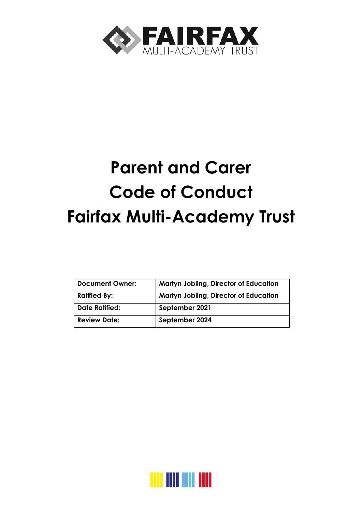

## **Parent and Carer Code of Conduct Fairfax Multi-Academy Trust**

| <b>Document Owner:</b> | Martyn Jobling, Director of Education        |
|------------------------|----------------------------------------------|
| <b>Ratified By:</b>    | <b>Martyn Jobling, Director of Education</b> |
| <b>Date Ratified:</b>  | September 2021                               |
| <b>Review Date:</b>    | September 2024                               |

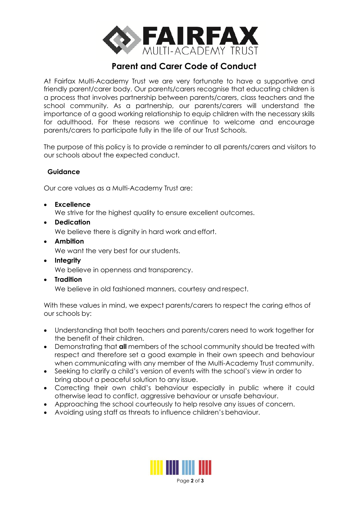

## **Parent and Carer Code of Conduct**

At Fairfax Multi-Academy Trust we are very fortunate to have a supportive and friendly parent/carer body. Our parents/carers recognise that educating children is a process that involves partnership between parents/carers, class teachers and the school community. As a partnership, our parents/carers will understand the importance of a good working relationship to equip children with the necessary skills for adulthood. For these reasons we continue to welcome and encourage parents/carers to participate fully in the life of our Trust Schools.

The purpose of this policy is to provide a reminder to all parents/carers and visitors to our schools about the expected conduct.

## **Guidance**

Our core values as a Multi-Academy Trust are:

• **Excellence**

We strive for the highest quality to ensure excellent outcomes.

• **Dedication**

We believe there is dignity in hard work and effort.

• **Ambition**

We want the very best for our students.

• **Integrity**

We believe in openness and transparency.

• **Tradition**

We believe in old fashioned manners, courtesy and respect.

With these values in mind, we expect parents/carers to respect the caring ethos of our schools by:

- Understanding that both teachers and parents/carers need to work together for the benefit of their children.
- Demonstrating that **all** members of the school community should be treated with respect and therefore set a good example in their own speech and behaviour when communicating with any member of the Multi-Academy Trust community.
- Seeking to clarify a child's version of events with the school's view in order to bring about a peaceful solution to any issue.
- Correcting their own child's behaviour especially in public where it could otherwise lead to conflict, aggressive behaviour or unsafe behaviour.
- Approaching the school courteously to help resolve any issues of concern.
- Avoiding using staff as threats to influence children's behaviour.